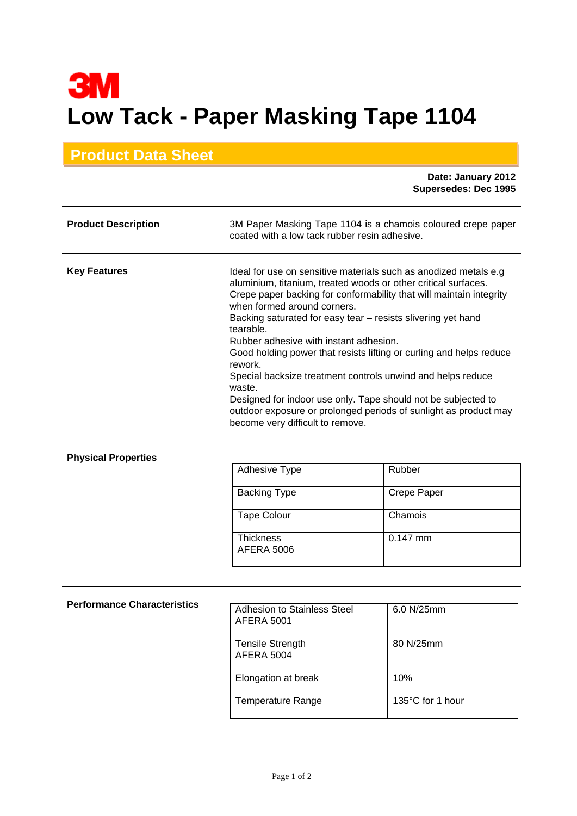## **3M Low Tack - Paper Masking Tape 1104**

## **Product Data Sheet**

 **Date: January 2012 Supersedes: Dec 1995**

| <b>Product Description</b> | 3M Paper Masking Tape 1104 is a chamois coloured crepe paper<br>coated with a low tack rubber resin adhesive.                                                                                                                                                                                                                                                                                                                                                                                                                                                                                                                                                                                        |
|----------------------------|------------------------------------------------------------------------------------------------------------------------------------------------------------------------------------------------------------------------------------------------------------------------------------------------------------------------------------------------------------------------------------------------------------------------------------------------------------------------------------------------------------------------------------------------------------------------------------------------------------------------------------------------------------------------------------------------------|
| <b>Key Features</b>        | Ideal for use on sensitive materials such as anodized metals e.g.<br>aluminium, titanium, treated woods or other critical surfaces.<br>Crepe paper backing for conformability that will maintain integrity<br>when formed around corners.<br>Backing saturated for easy tear – resists slivering yet hand<br>tearable.<br>Rubber adhesive with instant adhesion.<br>Good holding power that resists lifting or curling and helps reduce<br>rework.<br>Special backsize treatment controls unwind and helps reduce<br>waste.<br>Designed for indoor use only. Tape should not be subjected to<br>outdoor exposure or prolonged periods of sunlight as product may<br>become very difficult to remove. |

## **Physical Properties**

| <b>Adhesive Type</b>                  | Rubber             |
|---------------------------------------|--------------------|
| <b>Backing Type</b>                   | <b>Crepe Paper</b> |
| <b>Tape Colour</b>                    | Chamois            |
| <b>Thickness</b><br><b>AFERA 5006</b> | $0.147$ mm         |

| <b>Performance Characteristics</b> | Adhesion to Stainless Steel<br><b>AFERA 5001</b> | 6.0 N/25mm       |
|------------------------------------|--------------------------------------------------|------------------|
|                                    | <b>Tensile Strength</b><br>AFERA 5004            | 80 N/25mm        |
|                                    | Elongation at break                              | 10%              |
|                                    | <b>Temperature Range</b>                         | 135°C for 1 hour |